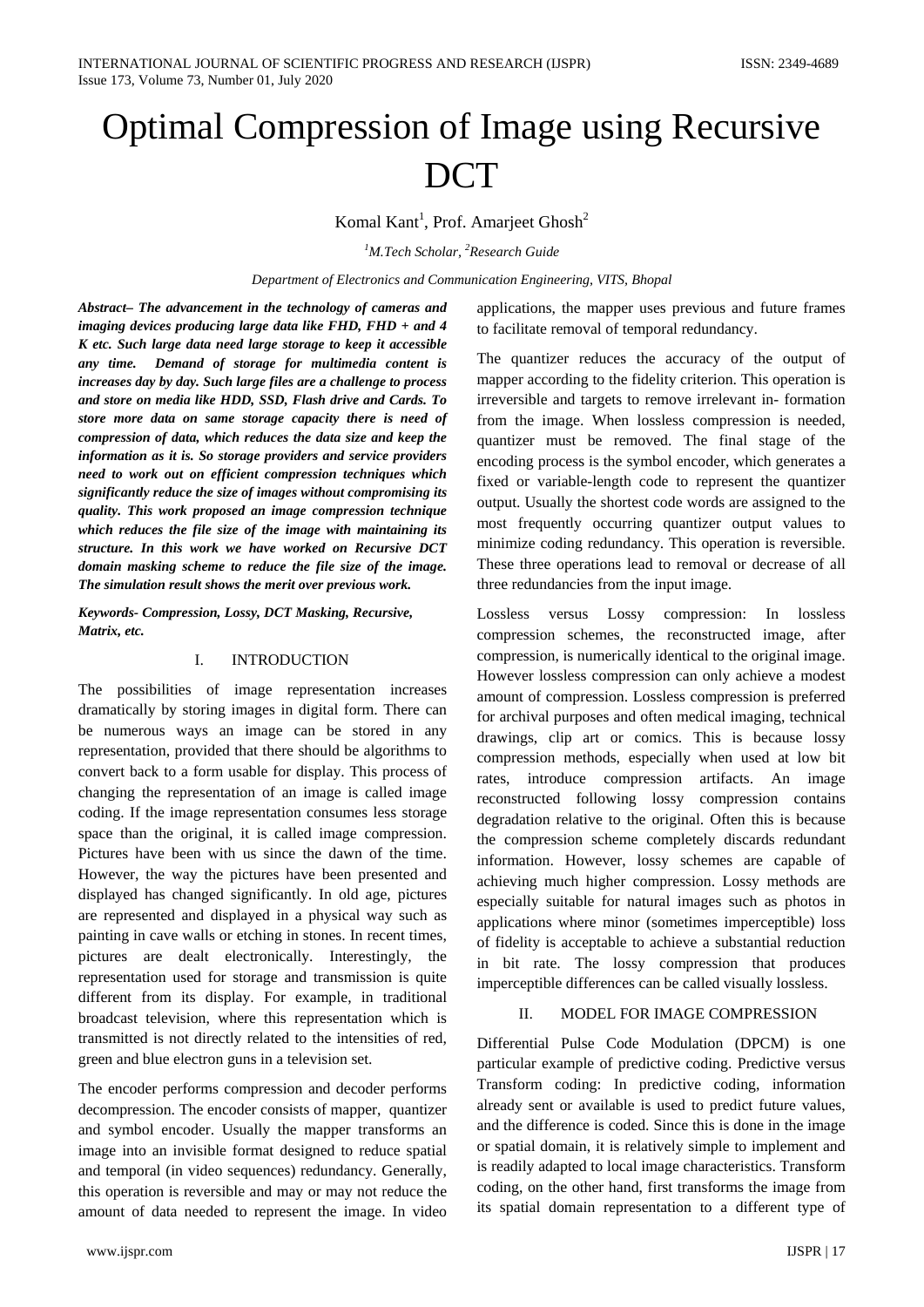# Optimal Compression of Image using Recursive **DCT**

# Komal Kant<sup>1</sup>, Prof. Amarjeet Ghosh<sup>2</sup>

*1 M.Tech Scholar, 2 Research Guide*

*Department of Electronics and Communication Engineering, VITS, Bhopal*

*Abstract– The advancement in the technology of cameras and imaging devices producing large data like FHD, FHD + and 4 K etc. Such large data need large storage to keep it accessible any time. Demand of storage for multimedia content is increases day by day. Such large files are a challenge to process and store on media like HDD, SSD, Flash drive and Cards. To store more data on same storage capacity there is need of compression of data, which reduces the data size and keep the information as it is. So storage providers and service providers need to work out on efficient compression techniques which significantly reduce the size of images without compromising its quality. This work proposed an image compression technique which reduces the file size of the image with maintaining its structure. In this work we have worked on Recursive DCT domain masking scheme to reduce the file size of the image. The simulation result shows the merit over previous work.*

*Keywords- Compression, Lossy, DCT Masking, Recursive, Matrix, etc.*

# I. INTRODUCTION

The possibilities of image representation increases dramatically by storing images in digital form. There can be numerous ways an image can be stored in any representation, provided that there should be algorithms to convert back to a form usable for display. This process of changing the representation of an image is called image coding. If the image representation consumes less storage space than the original, it is called image compression. Pictures have been with us since the dawn of the time. However, the way the pictures have been presented and displayed has changed significantly. In old age, pictures are represented and displayed in a physical way such as painting in cave walls or etching in stones. In recent times, pictures are dealt electronically. Interestingly, the representation used for storage and transmission is quite different from its display. For example, in traditional broadcast television, where this representation which is transmitted is not directly related to the intensities of red, green and blue electron guns in a television set.

The encoder performs compression and decoder performs decompression. The encoder consists of mapper, quantizer and symbol encoder. Usually the mapper transforms an image into an invisible format designed to reduce spatial and temporal (in video sequences) redundancy. Generally, this operation is reversible and may or may not reduce the amount of data needed to represent the image. In video

applications, the mapper uses previous and future frames to facilitate removal of temporal redundancy.

The quantizer reduces the accuracy of the output of mapper according to the fidelity criterion. This operation is irreversible and targets to remove irrelevant in- formation from the image. When lossless compression is needed, quantizer must be removed. The final stage of the encoding process is the symbol encoder, which generates a fixed or variable-length code to represent the quantizer output. Usually the shortest code words are assigned to the most frequently occurring quantizer output values to minimize coding redundancy. This operation is reversible. These three operations lead to removal or decrease of all three redundancies from the input image.

Lossless versus Lossy compression: In lossless compression schemes, the reconstructed image, after compression, is numerically identical to the original image. However lossless compression can only achieve a modest amount of compression. Lossless compression is preferred for archival purposes and often medical imaging, technical drawings, clip art or comics. This is because lossy compression methods, especially when used at low bit rates, introduce compression artifacts. An image reconstructed following lossy compression contains degradation relative to the original. Often this is because the compression scheme completely discards redundant information. However, lossy schemes are capable of achieving much higher compression. Lossy methods are especially suitable for natural images such as photos in applications where minor (sometimes imperceptible) loss of fidelity is acceptable to achieve a substantial reduction in bit rate. The lossy compression that produces imperceptible differences can be called visually lossless.

# II. MODEL FOR IMAGE COMPRESSION

Differential Pulse Code Modulation (DPCM) is one particular example of predictive coding. Predictive versus Transform coding: In predictive coding, information already sent or available is used to predict future values, and the difference is coded. Since this is done in the image or spatial domain, it is relatively simple to implement and is readily adapted to local image characteristics. Transform coding, on the other hand, first transforms the image from its spatial domain representation to a different type of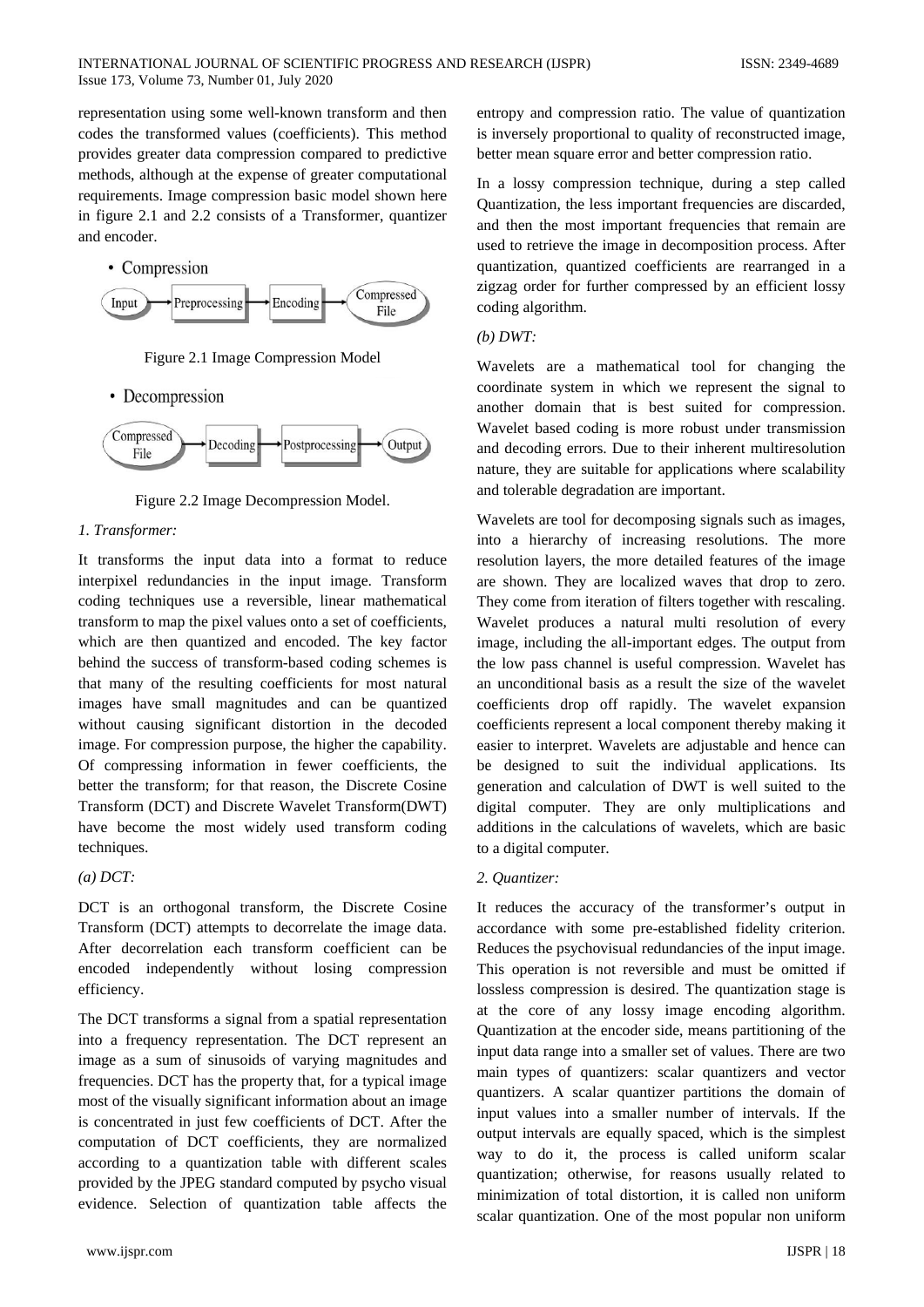representation using some well-known transform and then codes the transformed values (coefficients). This method provides greater data compression compared to predictive methods, although at the expense of greater computational requirements. Image compression basic model shown here in figure 2.1 and 2.2 consists of a Transformer, quantizer and encoder.



Figure 2.1 Image Compression Model

• Decompression



Figure 2.2 Image Decompression Model.

# *1. Transformer:*

It transforms the input data into a format to reduce interpixel redundancies in the input image. Transform coding techniques use a reversible, linear mathematical transform to map the pixel values onto a set of coefficients, which are then quantized and encoded. The key factor behind the success of transform-based coding schemes is that many of the resulting coefficients for most natural images have small magnitudes and can be quantized without causing significant distortion in the decoded image. For compression purpose, the higher the capability. Of compressing information in fewer coefficients, the better the transform; for that reason, the Discrete Cosine Transform (DCT) and Discrete Wavelet Transform(DWT) have become the most widely used transform coding techniques.

*(a) DCT:* 

DCT is an orthogonal transform, the Discrete Cosine Transform (DCT) attempts to decorrelate the image data. After decorrelation each transform coefficient can be encoded independently without losing compression efficiency.

The DCT transforms a signal from a spatial representation into a frequency representation. The DCT represent an image as a sum of sinusoids of varying magnitudes and frequencies. DCT has the property that, for a typical image most of the visually significant information about an image is concentrated in just few coefficients of DCT. After the computation of DCT coefficients, they are normalized according to a quantization table with different scales provided by the JPEG standard computed by psycho visual evidence. Selection of quantization table affects the

entropy and compression ratio. The value of quantization is inversely proportional to quality of reconstructed image, better mean square error and better compression ratio.

In a lossy compression technique, during a step called Quantization, the less important frequencies are discarded, and then the most important frequencies that remain are used to retrieve the image in decomposition process. After quantization, quantized coefficients are rearranged in a zigzag order for further compressed by an efficient lossy coding algorithm.

#### *(b) DWT:*

Wavelets are a mathematical tool for changing the coordinate system in which we represent the signal to another domain that is best suited for compression. Wavelet based coding is more robust under transmission and decoding errors. Due to their inherent multiresolution nature, they are suitable for applications where scalability and tolerable degradation are important.

Wavelets are tool for decomposing signals such as images, into a hierarchy of increasing resolutions. The more resolution layers, the more detailed features of the image are shown. They are localized waves that drop to zero. They come from iteration of filters together with rescaling. Wavelet produces a natural multi resolution of every image, including the all-important edges. The output from the low pass channel is useful compression. Wavelet has an unconditional basis as a result the size of the wavelet coefficients drop off rapidly. The wavelet expansion coefficients represent a local component thereby making it easier to interpret. Wavelets are adjustable and hence can be designed to suit the individual applications. Its generation and calculation of DWT is well suited to the digital computer. They are only multiplications and additions in the calculations of wavelets, which are basic to a digital computer.

#### *2. Quantizer:*

It reduces the accuracy of the transformer's output in accordance with some pre-established fidelity criterion. Reduces the psychovisual redundancies of the input image. This operation is not reversible and must be omitted if lossless compression is desired. The quantization stage is at the core of any lossy image encoding algorithm. Quantization at the encoder side, means partitioning of the input data range into a smaller set of values. There are two main types of quantizers: scalar quantizers and vector quantizers. A scalar quantizer partitions the domain of input values into a smaller number of intervals. If the output intervals are equally spaced, which is the simplest way to do it, the process is called uniform scalar quantization; otherwise, for reasons usually related to minimization of total distortion, it is called non uniform scalar quantization. One of the most popular non uniform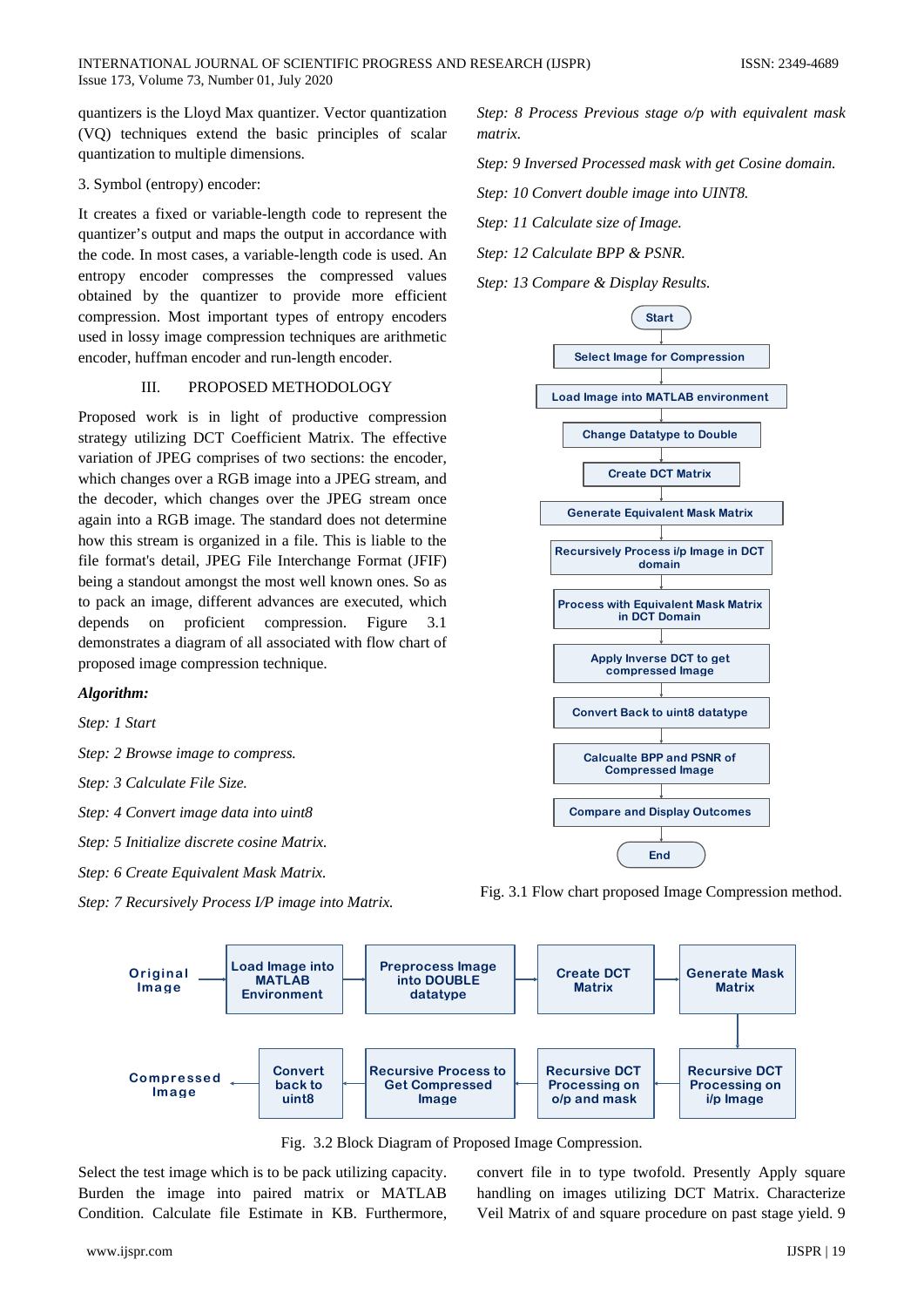quantizers is the Lloyd Max quantizer. Vector quantization (VQ) techniques extend the basic principles of scalar quantization to multiple dimensions.

### 3. Symbol (entropy) encoder:

It creates a fixed or variable-length code to represent the quantizer's output and maps the output in accordance with the code. In most cases, a variable-length code is used. An entropy encoder compresses the compressed values obtained by the quantizer to provide more efficient compression. Most important types of entropy encoders used in lossy image compression techniques are arithmetic encoder, huffman encoder and run-length encoder.

## III. PROPOSED METHODOLOGY

Proposed work is in light of productive compression strategy utilizing DCT Coefficient Matrix. The effective variation of JPEG comprises of two sections: the encoder, which changes over a RGB image into a JPEG stream, and the decoder, which changes over the JPEG stream once again into a RGB image. The standard does not determine how this stream is organized in a file. This is liable to the file format's detail, JPEG File Interchange Format (JFIF) being a standout amongst the most well known ones. So as to pack an image, different advances are executed, which depends on proficient compression. Figure 3.1 demonstrates a diagram of all associated with flow chart of proposed image compression technique.

#### *Algorithm:*

*Step: 1 Start*

*Step: 2 Browse image to compress.*

*Step: 3 Calculate File Size.*

*Step: 4 Convert image data into uint8*

*Step: 5 Initialize discrete cosine Matrix.*

*Step: 6 Create Equivalent Mask Matrix.*

*Step: 7 Recursively Process I/P image into Matrix.*

*Step: 8 Process Previous stage o/p with equivalent mask matrix.*

*Step: 9 Inversed Processed mask with get Cosine domain.*

*Step: 10 Convert double image into UINT8.*

*Step: 11 Calculate size of Image.*

*Step: 12 Calculate BPP & PSNR.*

*Step: 13 Compare & Display Results.*



Fig. 3.1 Flow chart proposed Image Compression method.



Fig. 3.2 Block Diagram of Proposed Image Compression.

Select the test image which is to be pack utilizing capacity. Burden the image into paired matrix or MATLAB Condition. Calculate file Estimate in KB. Furthermore, convert file in to type twofold. Presently Apply square handling on images utilizing DCT Matrix. Characterize Veil Matrix of and square procedure on past stage yield. 9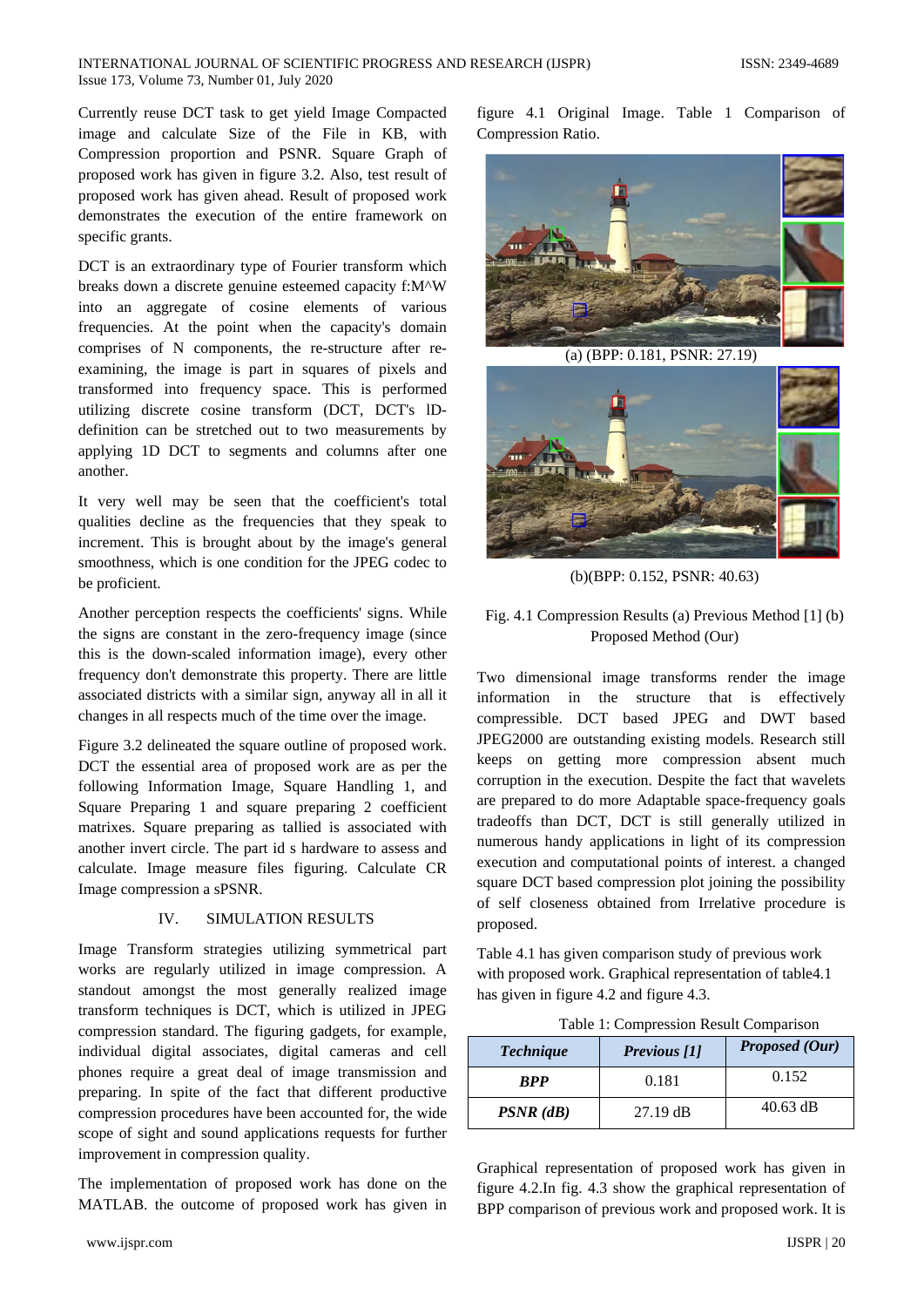#### INTERNATIONAL JOURNAL OF SCIENTIFIC PROGRESS AND RESEARCH (IJSPR) ISSN: 2349-4689 Issue 173, Volume 73, Number 01, July 2020

Currently reuse DCT task to get yield Image Compacted image and calculate Size of the File in KB, with Compression proportion and PSNR. Square Graph of proposed work has given in figure 3.2. Also, test result of proposed work has given ahead. Result of proposed work demonstrates the execution of the entire framework on specific grants.

DCT is an extraordinary type of Fourier transform which breaks down a discrete genuine esteemed capacity f:M^W into an aggregate of cosine elements of various frequencies. At the point when the capacity's domain comprises of N components, the re-structure after reexamining, the image is part in squares of pixels and transformed into frequency space. This is performed utilizing discrete cosine transform (DCT, DCT's lDdefinition can be stretched out to two measurements by applying 1D DCT to segments and columns after one another.

It very well may be seen that the coefficient's total qualities decline as the frequencies that they speak to increment. This is brought about by the image's general smoothness, which is one condition for the JPEG codec to be proficient.

Another perception respects the coefficients' signs. While the signs are constant in the zero-frequency image (since this is the down-scaled information image), every other frequency don't demonstrate this property. There are little associated districts with a similar sign, anyway all in all it changes in all respects much of the time over the image.

Figure 3.2 delineated the square outline of proposed work. DCT the essential area of proposed work are as per the following Information Image, Square Handling 1, and Square Preparing 1 and square preparing 2 coefficient matrixes. Square preparing as tallied is associated with another invert circle. The part id s hardware to assess and calculate. Image measure files figuring. Calculate CR Image compression a sPSNR.

# IV. SIMULATION RESULTS

Image Transform strategies utilizing symmetrical part works are regularly utilized in image compression. A standout amongst the most generally realized image transform techniques is DCT, which is utilized in JPEG compression standard. The figuring gadgets, for example, individual digital associates, digital cameras and cell phones require a great deal of image transmission and preparing. In spite of the fact that different productive compression procedures have been accounted for, the wide scope of sight and sound applications requests for further improvement in compression quality.

The implementation of proposed work has done on the MATLAB. the outcome of proposed work has given in figure 4.1 Original Image. Table 1 Comparison of Compression Ratio.



(a) (BPP: 0.181, PSNR: 27.19)



(b)(BPP: 0.152, PSNR: 40.63)

# Fig. 4.1 Compression Results (a) Previous Method [1] (b) Proposed Method (Our)

Two dimensional image transforms render the image information in the structure that is effectively compressible. DCT based JPEG and DWT based JPEG2000 are outstanding existing models. Research still keeps on getting more compression absent much corruption in the execution. Despite the fact that wavelets are prepared to do more Adaptable space-frequency goals tradeoffs than DCT, DCT is still generally utilized in numerous handy applications in light of its compression execution and computational points of interest. a changed square DCT based compression plot joining the possibility of self closeness obtained from Irrelative procedure is proposed.

Table 4.1 has given comparison study of previous work with proposed work. Graphical representation of table4.1 has given in figure 4.2 and figure 4.3.

Table 1: Compression Result Comparison

| <b>Technique</b> | Previous [1]       | Proposed (Our) |
|------------------|--------------------|----------------|
| <b>RPP</b>       | 0.181              | 0.152          |
| $PSNR$ ( $dB$ )  | $27.19 \text{ dB}$ | $40.63$ dB     |

Graphical representation of proposed work has given in figure 4.2.In fig. 4.3 show the graphical representation of BPP comparison of previous work and proposed work. It is